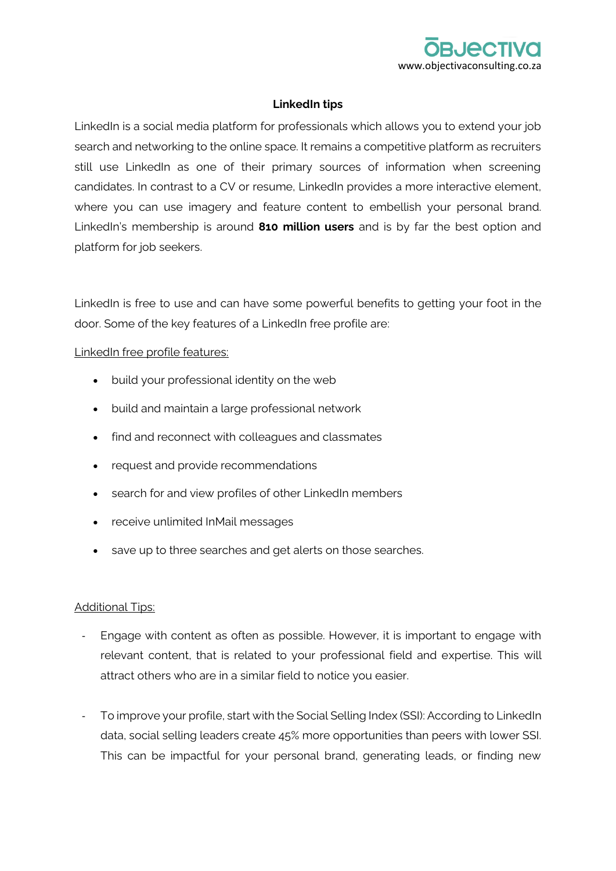

## **LinkedIn tips**

LinkedIn is a social media platform for professionals which allows you to extend your job search and networking to the online space. It remains a competitive platform as recruiters still use LinkedIn as one of their primary sources of information when screening candidates. In contrast to a CV or resume, LinkedIn provides a more interactive element, where you can use imagery and feature content to embellish your personal brand. LinkedIn's membership is around **810 million users** and is by far the best option and platform for job seekers.

LinkedIn is free to use and can have some powerful benefits to getting your foot in the door. Some of the key features of a LinkedIn free profile are:

## LinkedIn free profile features:

- build your professional identity on the web
- build and maintain a large professional network
- find and reconnect with colleagues and classmates
- request and provide recommendations
- search for and view profiles of other LinkedIn members
- receive unlimited InMail messages
- save up to three searches and get alerts on those searches.

## Additional Tips:

- Engage with content as often as possible. However, it is important to engage with relevant content, that is related to your professional field and expertise. This will attract others who are in a similar field to notice you easier.
- To improve your profile, start with the Social Selling Index (SSI): According to LinkedIn data, social selling leaders create 45% more opportunities than peers with lower SSI. This can be impactful for your personal brand, generating leads, or finding new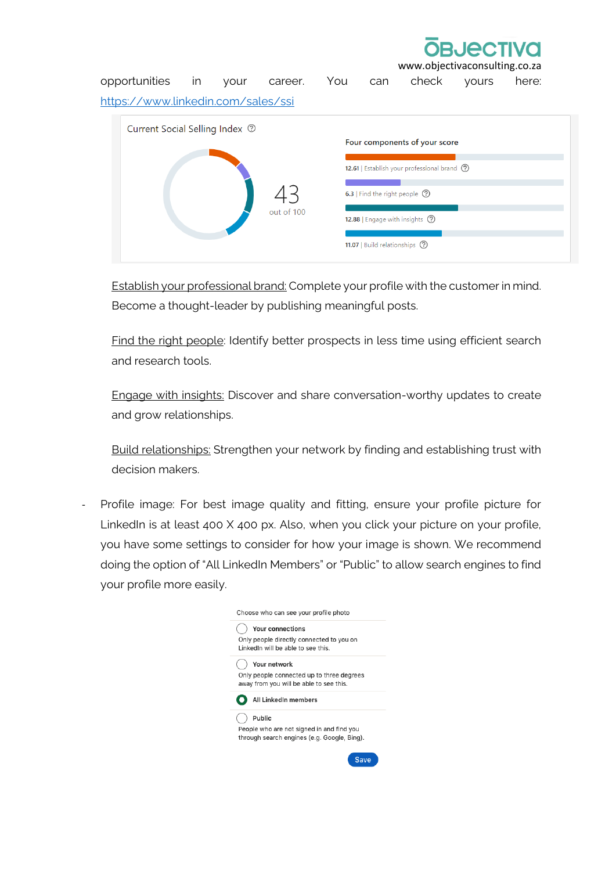www.objecti

opportunities in your career. You can check yours here: <https://www.linkedin.com/sales/ssi>

| Current Social Selling Index <sup>?</sup><br>out of 100 | Four components of your score<br>12.61   Establish your professional brand (?)<br>6.3   Find the right people (?)<br>12.88   Engage with insights (?) |
|---------------------------------------------------------|-------------------------------------------------------------------------------------------------------------------------------------------------------|
|                                                         | 11.07   Build relationships ?                                                                                                                         |

Establish your professional brand: Complete your profile with the customer in mind. Become a thought-leader by publishing meaningful posts.

Find the right people: Identify better prospects in less time using efficient search and research tools.

Engage with insights: Discover and share conversation-worthy updates to create and grow relationships.

Build relationships: Strengthen your network by finding and establishing trust with decision makers.

Profile image: For best image quality and fitting, ensure your profile picture for LinkedIn is at least 400 X 400 px. Also, when you click your picture on your profile, you have some settings to consider for how your image is shown. We recommend doing the option of "All LinkedIn Members" or "Public" to allow search engines to find your profile more easily.

| Choose who can see your profile photo                                                                |
|------------------------------------------------------------------------------------------------------|
| Your connections<br>Only people directly connected to you on<br>LinkedIn will be able to see this.   |
| Your network<br>Only people connected up to three degrees<br>away from you will be able to see this. |
| All LinkedIn members                                                                                 |
| Public<br>People who are not signed in and find you<br>through search engines (e.g. Google, Bing).   |